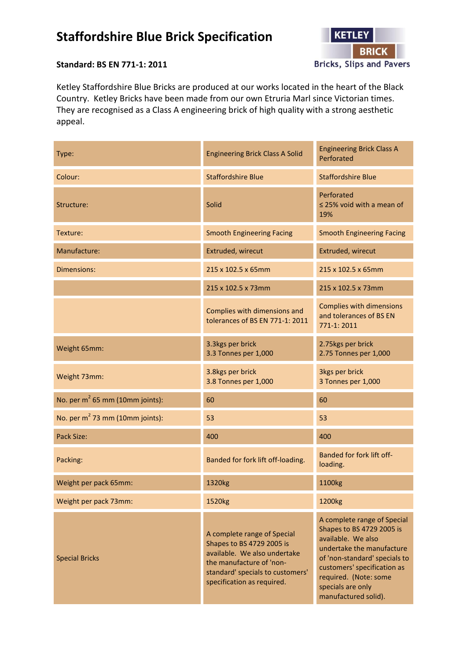## **Staffordshire Blue Brick Specification**



## **Standard: BS EN 771-1: 2011**

Ketley Staffordshire Blue Bricks are produced at our works located in the heart of the Black Country. Ketley Bricks have been made from our own Etruria Marl since Victorian times. They are recognised as a Class A engineering brick of high quality with a strong aesthetic appeal.

| Type:                              | <b>Engineering Brick Class A Solid</b>                                                                                                                                                 | <b>Engineering Brick Class A</b><br>Perforated                                                                                                                                                                                                    |
|------------------------------------|----------------------------------------------------------------------------------------------------------------------------------------------------------------------------------------|---------------------------------------------------------------------------------------------------------------------------------------------------------------------------------------------------------------------------------------------------|
| Colour:                            | <b>Staffordshire Blue</b>                                                                                                                                                              | <b>Staffordshire Blue</b>                                                                                                                                                                                                                         |
| Structure:                         | Solid                                                                                                                                                                                  | Perforated<br>$\leq$ 25% void with a mean of<br>19%                                                                                                                                                                                               |
| Texture:                           | <b>Smooth Engineering Facing</b>                                                                                                                                                       | <b>Smooth Engineering Facing</b>                                                                                                                                                                                                                  |
| Manufacture:                       | Extruded, wirecut                                                                                                                                                                      | Extruded, wirecut                                                                                                                                                                                                                                 |
| Dimensions:                        | 215 x 102.5 x 65mm                                                                                                                                                                     | 215 x 102.5 x 65mm                                                                                                                                                                                                                                |
|                                    | 215 x 102.5 x 73mm                                                                                                                                                                     | 215 x 102.5 x 73mm                                                                                                                                                                                                                                |
|                                    | Complies with dimensions and<br>tolerances of BS EN 771-1: 2011                                                                                                                        | <b>Complies with dimensions</b><br>and tolerances of BS EN<br>771-1:2011                                                                                                                                                                          |
| Weight 65mm:                       | 3.3kgs per brick<br>3.3 Tonnes per 1,000                                                                                                                                               | 2.75kgs per brick<br>2.75 Tonnes per 1,000                                                                                                                                                                                                        |
| Weight 73mm:                       | 3.8kgs per brick<br>3.8 Tonnes per 1,000                                                                                                                                               | 3kgs per brick<br>3 Tonnes per 1,000                                                                                                                                                                                                              |
| No. per $m^2$ 65 mm (10mm joints): | 60                                                                                                                                                                                     | 60                                                                                                                                                                                                                                                |
| No. per $m^2$ 73 mm (10mm joints): | 53                                                                                                                                                                                     | 53                                                                                                                                                                                                                                                |
| Pack Size:                         | 400                                                                                                                                                                                    | 400                                                                                                                                                                                                                                               |
| Packing:                           | Banded for fork lift off-loading.                                                                                                                                                      | Banded for fork lift off-<br>loading.                                                                                                                                                                                                             |
| Weight per pack 65mm:              | 1320kg                                                                                                                                                                                 | 1100kg                                                                                                                                                                                                                                            |
| Weight per pack 73mm:              | 1520kg                                                                                                                                                                                 | 1200kg                                                                                                                                                                                                                                            |
| <b>Special Bricks</b>              | A complete range of Special<br>Shapes to BS 4729 2005 is<br>available. We also undertake<br>the manufacture of 'non-<br>standard' specials to customers'<br>specification as required. | A complete range of Special<br>Shapes to BS 4729 2005 is<br>available. We also<br>undertake the manufacture<br>of 'non-standard' specials to<br>customers' specification as<br>required. (Note: some<br>specials are only<br>manufactured solid). |